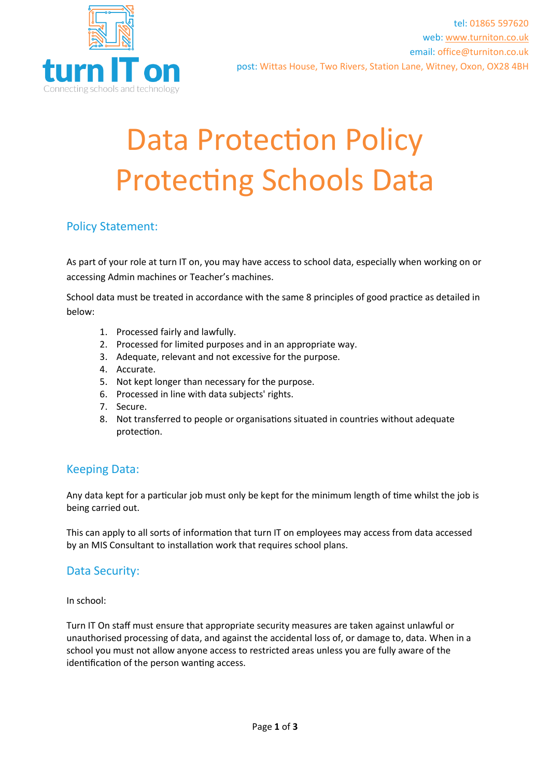

# Data Protection Policy Protecting Schools Data

## Policy Statement:

As part of your role at turn IT on, you may have access to school data, especially when working on or accessing Admin machines or Teacher's machines.

School data must be treated in accordance with the same 8 principles of good practice as detailed in below:

- 1. Processed fairly and lawfully.
- 2. Processed for limited purposes and in an appropriate way.
- 3. Adequate, relevant and not excessive for the purpose.
- 4. Accurate.
- 5. Not kept longer than necessary for the purpose.
- 6. Processed in line with data subjects' rights.
- 7. Secure.
- 8. Not transferred to people or organisations situated in countries without adequate protection.

### Keeping Data:

Any data kept for a particular job must only be kept for the minimum length of time whilst the job is being carried out.

This can apply to all sorts of information that turn IT on employees may access from data accessed by an MIS Consultant to installation work that requires school plans.

### Data Security:

In school:

Turn IT On staff must ensure that appropriate security measures are taken against unlawful or unauthorised processing of data, and against the accidental loss of, or damage to, data. When in a school you must not allow anyone access to restricted areas unless you are fully aware of the identification of the person wanting access.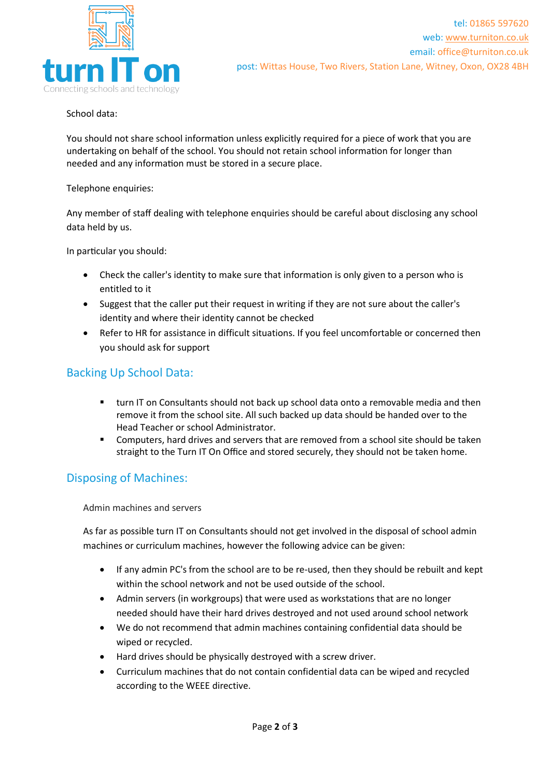

School data:

You should not share school information unless explicitly required for a piece of work that you are undertaking on behalf of the school. You should not retain school information for longer than needed and any information must be stored in a secure place.

Telephone enquiries:

Any member of staff dealing with telephone enquiries should be careful about disclosing any school data held by us.

In particular you should:

- Check the caller's identity to make sure that information is only given to a person who is entitled to it
- Suggest that the caller put their request in writing if they are not sure about the caller's identity and where their identity cannot be checked
- Refer to HR for assistance in difficult situations. If you feel uncomfortable or concerned then you should ask for support

#### Backing Up School Data:

- turn IT on Consultants should not back up school data onto a removable media and then remove it from the school site. All such backed up data should be handed over to the Head Teacher or school Administrator.
- Computers, hard drives and servers that are removed from a school site should be taken straight to the Turn IT On Office and stored securely, they should not be taken home.

### Disposing of Machines:

Admin machines and servers

As far as possible turn IT on Consultants should not get involved in the disposal of school admin machines or curriculum machines, however the following advice can be given:

- If any admin PC's from the school are to be re-used, then they should be rebuilt and kept within the school network and not be used outside of the school.
- Admin servers (in workgroups) that were used as workstations that are no longer needed should have their hard drives destroyed and not used around school network
- We do not recommend that admin machines containing confidential data should be wiped or recycled.
- Hard drives should be physically destroyed with a screw driver.
- Curriculum machines that do not contain confidential data can be wiped and recycled according to the WEEE directive.